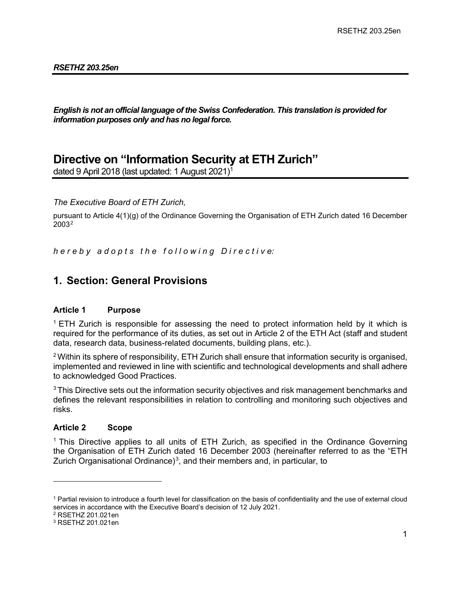#### *RSETHZ 203.25en*

*English is not an official language of the Swiss Confederation. This translation is provided for information purposes only and has no legal force.*

# **Directive on "Information Security at ETH Zurich"**

dated 9 April 2018 (last updated: 1 August 2021)[1](#page-0-0)

*The Executive Board of ETH Zurich,* 

pursuant to Article 4(1)(g) of the Ordinance Governing the Organisation of ETH Zurich dated 16 December 2003[2](#page-0-1)

*h e r e b y a d o p t s t h e f o l l o w i n g D i r e c t i v e:*

## **1. Section: General Provisions**

#### **Article 1 Purpose**

<sup>1</sup> ETH Zurich is responsible for assessing the need to protect information held by it which is required for the performance of its duties, as set out in Article 2 of the ETH Act (staff and student data, research data, business-related documents, building plans, etc.).

<sup>2</sup> Within its sphere of responsibility, ETH Zurich shall ensure that information security is organised, implemented and reviewed in line with scientific and technological developments and shall adhere to acknowledged Good Practices.

 $3$ This Directive sets out the information security objectives and risk management benchmarks and defines the relevant responsibilities in relation to controlling and monitoring such objectives and risks.

## **Article 2 Scope**

<sup>1</sup> This Directive applies to all units of ETH Zurich, as specified in the Ordinance Governing the Organisation of ETH Zurich dated 16 December 2003 (hereinafter referred to as the "ETH Zurich Organisational Ordinance)<sup>[3](#page-0-2)</sup>, and their members and, in particular, to

<span id="page-0-1"></span><sup>2</sup> RSETHZ 201.021en

<span id="page-0-0"></span><sup>1</sup> Partial revision to introduce a fourth level for classification on the basis of confidentiality and the use of external cloud services in accordance with the Executive Board's decision of 12 July 2021.

<span id="page-0-2"></span><sup>3</sup> RSETHZ 201.021en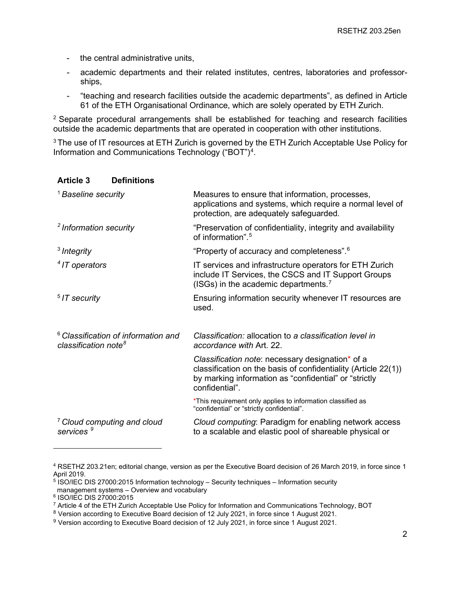- the central administrative units,
- academic departments and their related institutes, centres, laboratories and professorships,
- "teaching and research facilities outside the academic departments", as defined in Article 61 of the ETH Organisational Ordinance, which are solely operated by ETH Zurich.

 $2$  Separate procedural arrangements shall be established for teaching and research facilities outside the academic departments that are operated in cooperation with other institutions.

<sup>3</sup> The use of IT resources at ETH Zurich is governed by the ETH Zurich Acceptable Use Policy for Information and Communications Technology ("BOT")<sup>[4](#page-1-0)</sup>.

#### **Article 3 Definitions**

| <sup>1</sup> Baseline security                                                     | Measures to ensure that information, processes,<br>applications and systems, which require a normal level of<br>protection, are adequately safeguarded.                                       |
|------------------------------------------------------------------------------------|-----------------------------------------------------------------------------------------------------------------------------------------------------------------------------------------------|
| <sup>2</sup> Information security                                                  | "Preservation of confidentiality, integrity and availability<br>of information". <sup>5</sup>                                                                                                 |
| $3$ Integrity                                                                      | "Property of accuracy and completeness". <sup>6</sup>                                                                                                                                         |
| <sup>4</sup> IT operators                                                          | IT services and infrastructure operators for ETH Zurich<br>include IT Services, the CSCS and IT Support Groups<br>(ISGs) in the academic departments. <sup>7</sup>                            |
| $5$ IT security                                                                    | Ensuring information security whenever IT resources are<br>used.                                                                                                                              |
| <sup>6</sup> Classification of information and<br>classification note <sup>8</sup> | Classification: allocation to a classification level in<br>accordance with Art. 22.                                                                                                           |
|                                                                                    | Classification note: necessary designation* of a<br>classification on the basis of confidentiality (Article 22(1))<br>by marking information as "confidential" or "strictly<br>confidential". |
|                                                                                    | *This requirement only applies to information classified as<br>"confidential" or "strictly confidential".                                                                                     |
| <sup>7</sup> Cloud computing and cloud<br>services                                 | Cloud computing: Paradigm for enabling network access<br>to a scalable and elastic pool of shareable physical or                                                                              |

<span id="page-1-0"></span><sup>4</sup> RSETHZ 203.21en; editorial change, version as per the Executive Board decision of 26 March 2019, in force since 1 April 2019.

<span id="page-1-1"></span> $5$  ISO/IEC DIS 27000:2015 Information technology – Security techniques – Information security management systems – Overview and vocabulary

<span id="page-1-2"></span><sup>6</sup> ISO/IEC DIS 27000:2015

<sup>7</sup> Article 4 of the ETH Zurich Acceptable Use Policy for Information and Communications Technology, BOT

<span id="page-1-4"></span><span id="page-1-3"></span><sup>8</sup> Version according to Executive Board decision of 12 July 2021, in force since 1 August 2021.

<span id="page-1-5"></span><sup>9</sup> Version according to Executive Board decision of 12 July 2021, in force since 1 August 2021.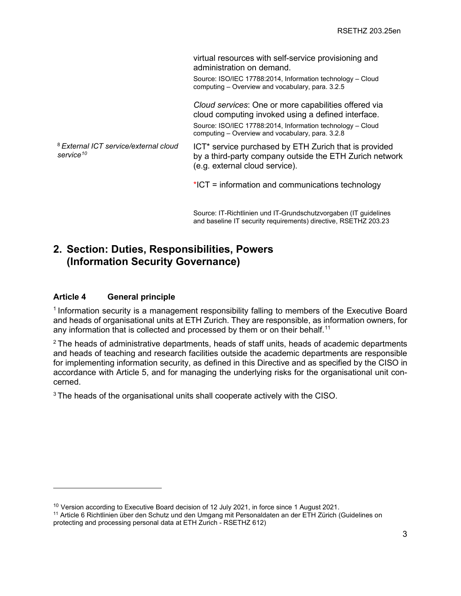virtual resources with self-service provisioning and administration on demand.

Source: ISO/IEC 17788:2014, Information technology – Cloud computing – Overview and vocabulary, para. 3.2.5

*Cloud services*: One or more capabilities offered via cloud computing invoked using a defined interface. Source: ISO/IEC 17788:2014, Information technology – Cloud computing – Overview and vocabulary, para. 3.2.8

<sup>8</sup>*External ICT service/external cloud service[10](#page-2-0)*

ICT\* service purchased by ETH Zurich that is provided by a third-party company outside the ETH Zurich network (e.g. external cloud service).

\*ICT = information and communications technology

Source: IT-Richtlinien und IT-Grundschutzvorgaben (IT guidelines and baseline IT security requirements) directive, RSETHZ 203.23

## **2. Section: Duties, Responsibilities, Powers (Information Security Governance)**

## **Article 4 General principle**

<sup>1</sup> Information security is a management responsibility falling to members of the Executive Board and heads of organisational units at ETH Zurich. They are responsible, as information owners, for any information that is collected and processed by them or on their behalf.<sup>[11](#page-2-1)</sup>

 $2$  The heads of administrative departments, heads of staff units, heads of academic departments and heads of teaching and research facilities outside the academic departments are responsible for implementing information security, as defined in this Directive and as specified by the CISO in accordance with Article 5, and for managing the underlying risks for the organisational unit concerned.

<sup>3</sup> The heads of the organisational units shall cooperate actively with the CISO.

<span id="page-2-0"></span> $10$  Version according to Executive Board decision of 12 July 2021, in force since 1 August 2021.

<span id="page-2-1"></span><sup>11</sup> Article 6 Richtlinien über den Schutz und den Umgang mit Personaldaten an der ETH Zürich (Guidelines on protecting and processing personal data at ETH Zurich - RSETHZ 612)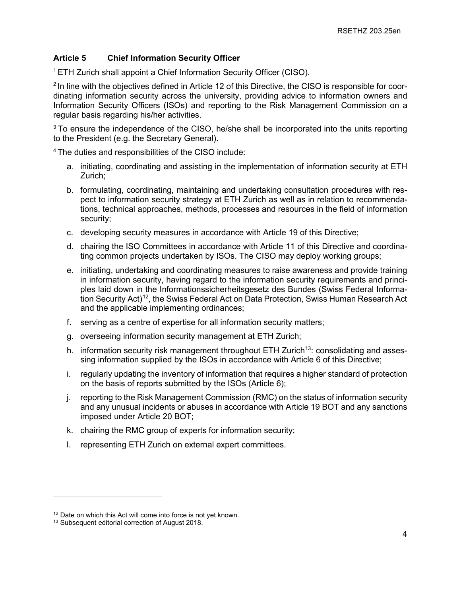## **Article 5 Chief Information Security Officer**

<sup>1</sup> ETH Zurich shall appoint a Chief Information Security Officer (CISO).

<sup>2</sup> In line with the objectives defined in Article 12 of this Directive, the CISO is responsible for coordinating information security across the university, providing advice to information owners and Information Security Officers (ISOs) and reporting to the Risk Management Commission on a regular basis regarding his/her activities.

 $3$  To ensure the independence of the CISO, he/she shall be incorporated into the units reporting to the President (e.g. the Secretary General).

<sup>4</sup> The duties and responsibilities of the CISO include:

- a. initiating, coordinating and assisting in the implementation of information security at ETH Zurich;
- b. formulating, coordinating, maintaining and undertaking consultation procedures with respect to information security strategy at ETH Zurich as well as in relation to recommendations, technical approaches, methods, processes and resources in the field of information security;
- c. developing security measures in accordance with Article 19 of this Directive;
- d. chairing the ISO Committees in accordance with Article 11 of this Directive and coordinating common projects undertaken by ISOs. The CISO may deploy working groups;
- e. initiating, undertaking and coordinating measures to raise awareness and provide training in information security, having regard to the information security requirements and principles laid down in the Informationssicherheitsgesetz des Bundes (Swiss Federal Information Security Act)<sup>12</sup>, the Swiss Federal Act on Data Protection, Swiss Human Research Act and the applicable implementing ordinances;
- f. serving as a centre of expertise for all information security matters;
- g. overseeing information security management at ETH Zurich;
- h. information security risk management throughout ETH Zurich<sup>13</sup>: consolidating and assessing information supplied by the ISOs in accordance with Article 6 of this Directive;
- i. regularly updating the inventory of information that requires a higher standard of protection on the basis of reports submitted by the ISOs (Article 6);
- j. reporting to the Risk Management Commission (RMC) on the status of information security and any unusual incidents or abuses in accordance with Article 19 BOT and any sanctions imposed under Article 20 BOT;
- k. chairing the RMC group of experts for information security;
- l. representing ETH Zurich on external expert committees.

<span id="page-3-0"></span><sup>&</sup>lt;sup>12</sup> Date on which this Act will come into force is not yet known.

<span id="page-3-1"></span><sup>&</sup>lt;sup>13</sup> Subsequent editorial correction of August 2018.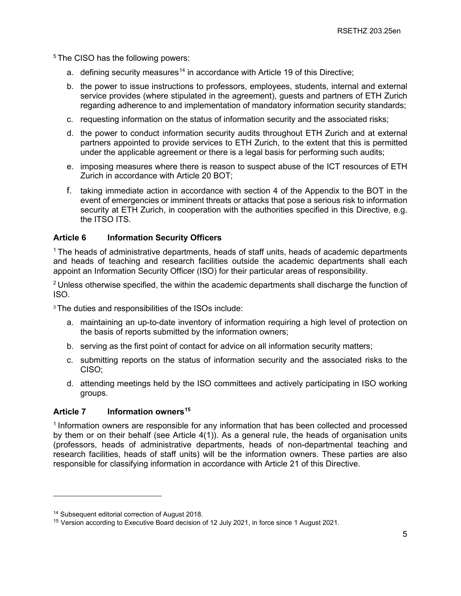<sup>5</sup> The CISO has the following powers:

- a. defining security measures<sup>[14](#page-4-0)</sup> in accordance with Article 19 of this Directive;
- b. the power to issue instructions to professors, employees, students, internal and external service provides (where stipulated in the agreement), guests and partners of ETH Zurich regarding adherence to and implementation of mandatory information security standards;
- c. requesting information on the status of information security and the associated risks;
- d. the power to conduct information security audits throughout ETH Zurich and at external partners appointed to provide services to ETH Zurich, to the extent that this is permitted under the applicable agreement or there is a legal basis for performing such audits;
- e. imposing measures where there is reason to suspect abuse of the ICT resources of ETH Zurich in accordance with Article 20 BOT;
- f. taking immediate action in accordance with section 4 of the Appendix to the BOT in the event of emergencies or imminent threats or attacks that pose a serious risk to information security at ETH Zurich, in cooperation with the authorities specified in this Directive, e.g. the ITSO ITS.

## **Article 6 Information Security Officers**

 $1$  The heads of administrative departments, heads of staff units, heads of academic departments and heads of teaching and research facilities outside the academic departments shall each appoint an Information Security Officer (ISO) for their particular areas of responsibility.

 $2$  Unless otherwise specified, the within the academic departments shall discharge the function of ISO.

<sup>3</sup> The duties and responsibilities of the ISOs include:

- a. maintaining an up-to-date inventory of information requiring a high level of protection on the basis of reports submitted by the information owners;
- b. serving as the first point of contact for advice on all information security matters;
- c. submitting reports on the status of information security and the associated risks to the CISO;
- d. attending meetings held by the ISO committees and actively participating in ISO working groups.

## Article 7 Information owners<sup>15</sup>

 $1$  Information owners are responsible for any information that has been collected and processed by them or on their behalf (see Article 4(1)). As a general rule, the heads of organisation units (professors, heads of administrative departments, heads of non-departmental teaching and research facilities, heads of staff units) will be the information owners. These parties are also responsible for classifying information in accordance with Article 21 of this Directive.

<span id="page-4-0"></span><sup>&</sup>lt;sup>14</sup> Subsequent editorial correction of August 2018.

<span id="page-4-1"></span><sup>&</sup>lt;sup>15</sup> Version according to Executive Board decision of 12 July 2021, in force since 1 August 2021.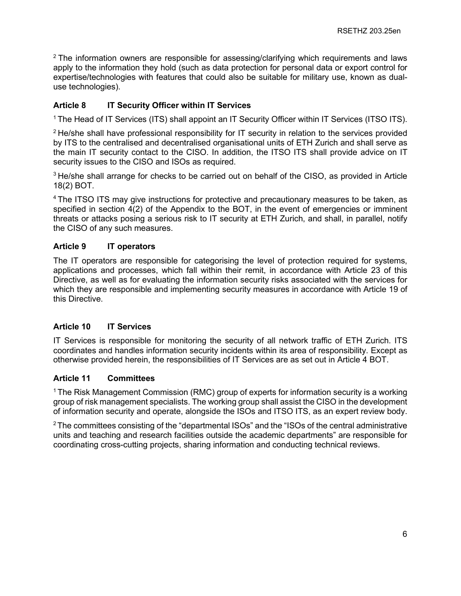$2$  The information owners are responsible for assessing/clarifying which requirements and laws apply to the information they hold (such as data protection for personal data or export control for expertise/technologies with features that could also be suitable for military use, known as dualuse technologies).

## **Article 8 IT Security Officer within IT Services**

<sup>1</sup> The Head of IT Services (ITS) shall appoint an IT Security Officer within IT Services (ITSO ITS).

 $2$  He/she shall have professional responsibility for IT security in relation to the services provided by ITS to the centralised and decentralised organisational units of ETH Zurich and shall serve as the main IT security contact to the CISO. In addition, the ITSO ITS shall provide advice on IT security issues to the CISO and ISOs as required.

 $3$  He/she shall arrange for checks to be carried out on behalf of the CISO, as provided in Article 18(2) BOT.

<sup>4</sup> The ITSO ITS may give instructions for protective and precautionary measures to be taken, as specified in section 4(2) of the Appendix to the BOT, in the event of emergencies or imminent threats or attacks posing a serious risk to IT security at ETH Zurich, and shall, in parallel, notify the CISO of any such measures.

## **Article 9 IT operators**

The IT operators are responsible for categorising the level of protection required for systems, applications and processes, which fall within their remit, in accordance with Article 23 of this Directive, as well as for evaluating the information security risks associated with the services for which they are responsible and implementing security measures in accordance with Article 19 of this Directive.

## **Article 10 IT Services**

IT Services is responsible for monitoring the security of all network traffic of ETH Zurich. ITS coordinates and handles information security incidents within its area of responsibility. Except as otherwise provided herein, the responsibilities of IT Services are as set out in Article 4 BOT.

## **Article 11 Committees**

<sup>1</sup> The Risk Management Commission (RMC) group of experts for information security is a working group of risk management specialists. The working group shall assist the CISO in the development of information security and operate, alongside the ISOs and ITSO ITS, as an expert review body.

2The committees consisting of the "departmental ISOs" and the "ISOs of the central administrative units and teaching and research facilities outside the academic departments" are responsible for coordinating cross-cutting projects, sharing information and conducting technical reviews.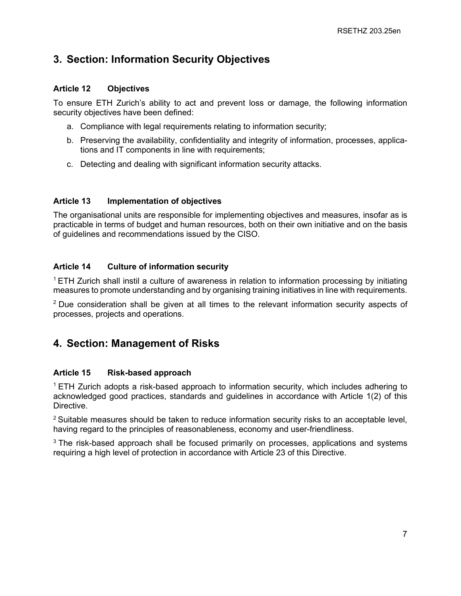# **3. Section: Information Security Objectives**

## **Article 12 Objectives**

To ensure ETH Zurich's ability to act and prevent loss or damage, the following information security objectives have been defined:

- a. Compliance with legal requirements relating to information security;
- b. Preserving the availability, confidentiality and integrity of information, processes, applications and IT components in line with requirements;
- c. Detecting and dealing with significant information security attacks.

## **Article 13 Implementation of objectives**

The organisational units are responsible for implementing objectives and measures, insofar as is practicable in terms of budget and human resources, both on their own initiative and on the basis of guidelines and recommendations issued by the CISO.

## **Article 14 Culture of information security**

<sup>1</sup> ETH Zurich shall instil a culture of awareness in relation to information processing by initiating measures to promote understanding and by organising training initiatives in line with requirements.

 $2$  Due consideration shall be given at all times to the relevant information security aspects of processes, projects and operations.

# **4. Section: Management of Risks**

## **Article 15 Risk-based approach**

<sup>1</sup> ETH Zurich adopts a risk-based approach to information security, which includes adhering to acknowledged good practices, standards and guidelines in accordance with Article 1(2) of this Directive.

 $2$  Suitable measures should be taken to reduce information security risks to an acceptable level, having regard to the principles of reasonableness, economy and user-friendliness.

<sup>3</sup> The risk-based approach shall be focused primarily on processes, applications and systems requiring a high level of protection in accordance with Article 23 of this Directive.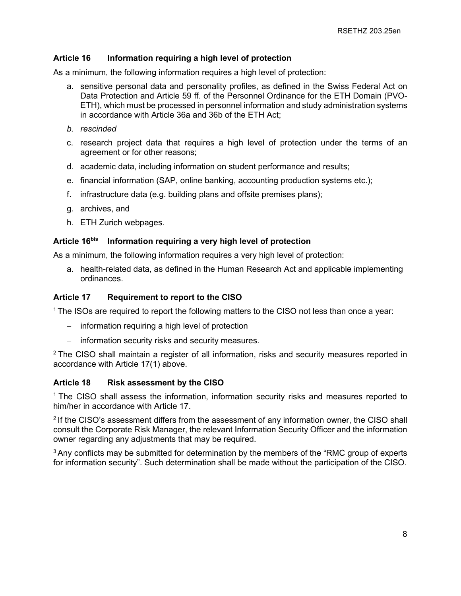#### **Article 16 Information requiring a high level of protection**

As a minimum, the following information requires a high level of protection:

- a. sensitive personal data and personality profiles, as defined in the Swiss Federal Act on Data Protection and Article 59 ff. of the Personnel Ordinance for the ETH Domain (PVO-ETH), which must be processed in personnel information and study administration systems in accordance with Article 36a and 36b of the ETH Act;
- *b. rescinded*
- c. research project data that requires a high level of protection under the terms of an agreement or for other reasons;
- d. academic data, including information on student performance and results;
- e. financial information (SAP, online banking, accounting production systems etc.);
- f. infrastructure data (e.g. building plans and offsite premises plans);
- g. archives, and
- h. ETH Zurich webpages.

#### **Article 16bis Information requiring a very high level of protection**

As a minimum, the following information requires a very high level of protection:

a. health-related data, as defined in the Human Research Act and applicable implementing ordinances.

#### **Article 17 Requirement to report to the CISO**

<sup>1</sup> The ISOs are required to report the following matters to the CISO not less than once a year:

- − information requiring a high level of protection
- − information security risks and security measures.

 $2$  The CISO shall maintain a register of all information, risks and security measures reported in accordance with Article 17(1) above.

#### **Article 18 Risk assessment by the CISO**

<sup>1</sup> The CISO shall assess the information, information security risks and measures reported to him/her in accordance with Article 17.

<sup>2</sup> If the CISO's assessment differs from the assessment of any information owner, the CISO shall consult the Corporate Risk Manager, the relevant Information Security Officer and the information owner regarding any adjustments that may be required.

<sup>3</sup> Any conflicts may be submitted for determination by the members of the "RMC group of experts" for information security". Such determination shall be made without the participation of the CISO.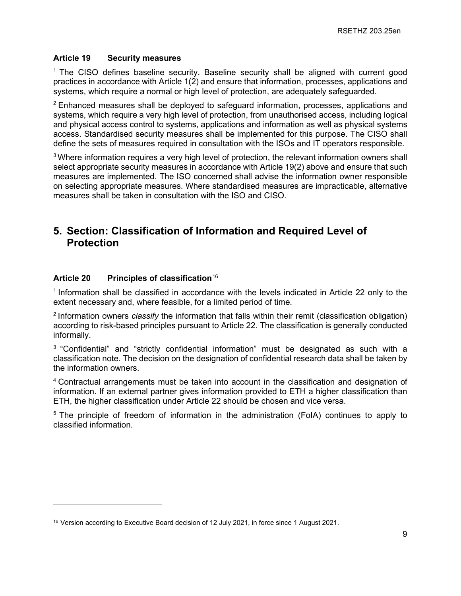#### **Article 19 Security measures**

<sup>1</sup> The CISO defines baseline security. Baseline security shall be aligned with current good practices in accordance with Article 1(2) and ensure that information, processes, applications and systems, which require a normal or high level of protection, are adequately safeguarded.

<sup>2</sup> Enhanced measures shall be deployed to safeguard information, processes, applications and systems, which require a very high level of protection, from unauthorised access, including logical and physical access control to systems, applications and information as well as physical systems access. Standardised security measures shall be implemented for this purpose. The CISO shall define the sets of measures required in consultation with the ISOs and IT operators responsible.

 $3$  Where information requires a very high level of protection, the relevant information owners shall select appropriate security measures in accordance with Article 19(2) above and ensure that such measures are implemented. The ISO concerned shall advise the information owner responsible on selecting appropriate measures. Where standardised measures are impracticable, alternative measures shall be taken in consultation with the ISO and CISO.

## **5. Section: Classification of Information and Required Level of Protection**

#### **Article 20 Principles of classification**[16](#page-8-0)

<sup>1</sup> Information shall be classified in accordance with the levels indicated in Article 22 only to the extent necessary and, where feasible, for a limited period of time.

<sup>2</sup> Information owners *classify* the information that falls within their remit (classification obligation) according to risk-based principles pursuant to Article 22. The classification is generally conducted informally.

<sup>3</sup> "Confidential" and "strictly confidential information" must be designated as such with a classification note. The decision on the designation of confidential research data shall be taken by the information owners.

4 Contractual arrangements must be taken into account in the classification and designation of information. If an external partner gives information provided to ETH a higher classification than ETH, the higher classification under Article 22 should be chosen and vice versa.

<sup>5</sup> The principle of freedom of information in the administration (FoIA) continues to apply to classified information.

<span id="page-8-0"></span><sup>&</sup>lt;sup>16</sup> Version according to Executive Board decision of 12 July 2021, in force since 1 August 2021.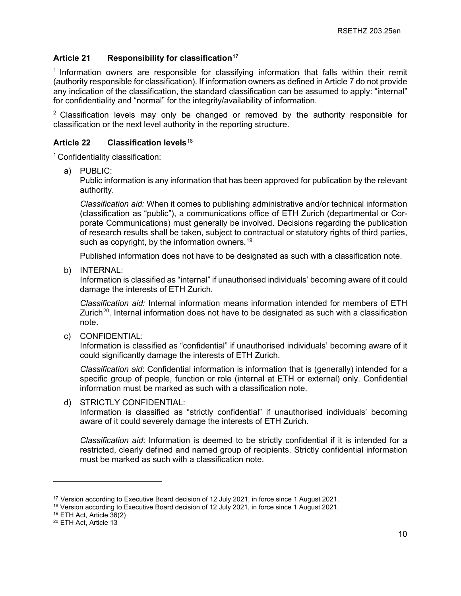## **Article 21 Responsibility for classification[17](#page-9-0)**

<sup>1</sup> Information owners are responsible for classifying information that falls within their remit (authority responsible for classification). If information owners as defined in Article 7 do not provide any indication of the classification, the standard classification can be assumed to apply: "internal" for confidentiality and "normal" for the integrity/availability of information.

 $2$  Classification levels may only be changed or removed by the authority responsible for classification or the next level authority in the reporting structure.

## **Article 22 Classification levels**[18](#page-9-1)

<sup>1</sup> Confidentiality classification:

a) PUBLIC:

Public information is any information that has been approved for publication by the relevant authority.

*Classification aid:* When it comes to publishing administrative and/or technical information (classification as "public"), a communications office of ETH Zurich (departmental or Corporate Communications) must generally be involved. Decisions regarding the publication of research results shall be taken, subject to contractual or statutory rights of third parties, such as copyright, by the information owners.<sup>[19](#page-9-2)</sup>

Published information does not have to be designated as such with a classification note.

b) INTERNAL:

Information is classified as "internal" if unauthorised individuals' becoming aware of it could damage the interests of ETH Zurich.

*Classification aid:* Internal information means information intended for members of ETH Zurich<sup>20</sup>. Internal information does not have to be designated as such with a classification note.

c) CONFIDENTIAL:

Information is classified as "confidential" if unauthorised individuals' becoming aware of it could significantly damage the interests of ETH Zurich.

*Classification aid*: Confidential information is information that is (generally) intended for a specific group of people, function or role (internal at ETH or external) only. Confidential information must be marked as such with a classification note.

## d) STRICTLY CONFIDENTIAL:

Information is classified as "strictly confidential" if unauthorised individuals' becoming aware of it could severely damage the interests of ETH Zurich.

*Classification aid*: Information is deemed to be strictly confidential if it is intended for a restricted, clearly defined and named group of recipients. Strictly confidential information must be marked as such with a classification note.

<span id="page-9-0"></span><sup>&</sup>lt;sup>17</sup> Version according to Executive Board decision of 12 July 2021, in force since 1 August 2021.

<span id="page-9-1"></span><sup>&</sup>lt;sup>18</sup> Version according to Executive Board decision of 12 July 2021, in force since 1 August 2021.

<span id="page-9-2"></span><sup>19</sup> ETH Act, Article 36(2)

<span id="page-9-3"></span><sup>20</sup> ETH Act, Article 13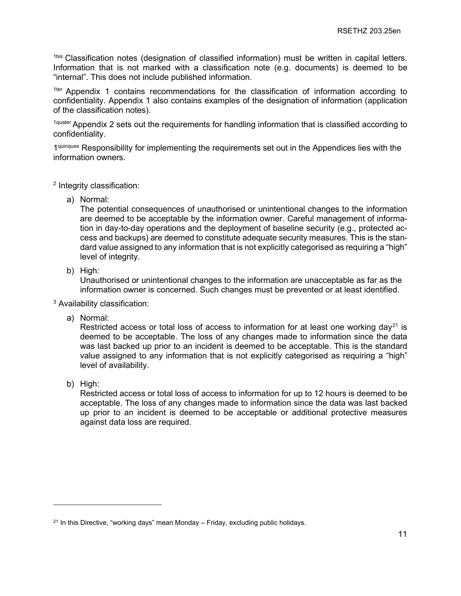1bis Classification notes (designation of classified information) must be written in capital letters. Information that is not marked with a classification note (e.g. documents) is deemed to be "internal". This does not include published information.

<sup>1ter</sup> Appendix 1 contains recommendations for the classification of information according to confidentiality. Appendix 1 also contains examples of the designation of information (application of the classification notes).

1quater Appendix 2 sets out the requirements for handling information that is classified according to confidentiality.

1<sup>quinques</sup> Responsibility for implementing the requirements set out in the Appendices lies with the information owners.

- <sup>2</sup> Integrity classification:
	- a) Normal:

The potential consequences of unauthorised or unintentional changes to the information are deemed to be acceptable by the information owner. Careful management of information in day-to-day operations and the deployment of baseline security (e.g., protected access and backups) are deemed to constitute adequate security measures. This is the standard value assigned to any information that is not explicitly categorised as requiring a "high" level of integrity.

b) High:

Unauthorised or unintentional changes to the information are unacceptable as far as the information owner is concerned. Such changes must be prevented or at least identified.

<sup>3</sup> Availability classification:

a) Normal:

Restricted access or total loss of access to information for at least one working day<sup>[21](#page-10-0)</sup> is deemed to be acceptable. The loss of any changes made to information since the data was last backed up prior to an incident is deemed to be acceptable. This is the standard value assigned to any information that is not explicitly categorised as requiring a "high" level of availability.

b) High:

Restricted access or total loss of access to information for up to 12 hours is deemed to be acceptable. The loss of any changes made to information since the data was last backed up prior to an incident is deemed to be acceptable or additional protective measures against data loss are required.

<span id="page-10-0"></span> $21$  In this Directive, "working days" mean Monday – Friday, excluding public holidays.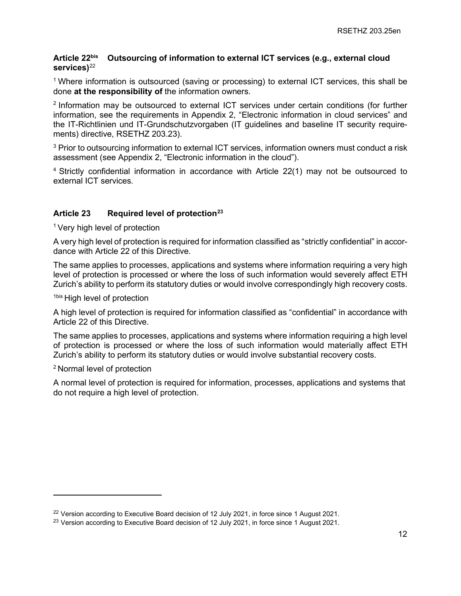#### **Article 22bis Outsourcing of information to external ICT services (e.g., external cloud services)**[22](#page-11-0)

1 Where information is outsourced (saving or processing) to external ICT services, this shall be done **at the responsibility of** the information owners.

2 Information may be outsourced to external ICT services under certain conditions (for further information, see the requirements in Appendix 2, "Electronic information in cloud services" and the IT-Richtlinien und IT-Grundschutzvorgaben (IT guidelines and baseline IT security requirements) directive, RSETHZ 203.23).

<sup>3</sup> Prior to outsourcing information to external ICT services, information owners must conduct a risk assessment (see Appendix 2, "Electronic information in the cloud").

4 Strictly confidential information in accordance with Article 22(1) may not be outsourced to external ICT services.

## **Article 23 Required level of protection[23](#page-11-1)**

<sup>1</sup> Very high level of protection

A very high level of protection is required for information classified as "strictly confidential" in accordance with Article 22 of this Directive.

The same applies to processes, applications and systems where information requiring a very high level of protection is processed or where the loss of such information would severely affect ETH Zurich's ability to perform its statutory duties or would involve correspondingly high recovery costs.

1bis High level of protection

A high level of protection is required for information classified as "confidential" in accordance with Article 22 of this Directive.

The same applies to processes, applications and systems where information requiring a high level of protection is processed or where the loss of such information would materially affect ETH Zurich's ability to perform its statutory duties or would involve substantial recovery costs.

<sup>2</sup> Normal level of protection

A normal level of protection is required for information, processes, applications and systems that do not require a high level of protection.

<span id="page-11-0"></span> $22$  Version according to Executive Board decision of 12 July 2021, in force since 1 August 2021.

<span id="page-11-1"></span><sup>&</sup>lt;sup>23</sup> Version according to Executive Board decision of 12 July 2021, in force since 1 August 2021.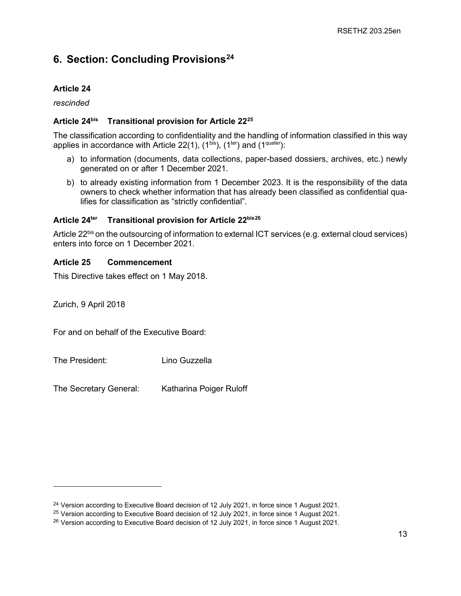# **6. Section: Concluding Provisions[24](#page-12-0)**

## **Article 24**

*rescinded*

## **Article 24bis Transitional provision for Article 22[25](#page-12-1)**

The classification according to confidentiality and the handling of information classified in this way applies in accordance with Article 22(1),  $(1^{bis})$ ,  $(1^{ter})$  and  $(1^{quater})$ :

- a) to information (documents, data collections, paper-based dossiers, archives, etc.) newly generated on or after 1 December 2021.
- b) to already existing information from 1 December 2023. It is the responsibility of the data owners to check whether information that has already been classified as confidential qualifies for classification as "strictly confidential".

## **Article 24ter Transitional provision for Article 22bis[26](#page-12-2)**

Article 22<sup>bis</sup> on the outsourcing of information to external ICT services (e.g. external cloud services) enters into force on 1 December 2021.

## **Article 25 Commencement**

This Directive takes effect on 1 May 2018.

Zurich, 9 April 2018

For and on behalf of the Executive Board:

The President: Lino Guzzella

The Secretary General: Katharina Poiger Ruloff

<span id="page-12-0"></span><sup>&</sup>lt;sup>24</sup> Version according to Executive Board decision of 12 July 2021, in force since 1 August 2021.

<span id="page-12-1"></span><sup>&</sup>lt;sup>25</sup> Version according to Executive Board decision of 12 July 2021, in force since 1 August 2021.

<span id="page-12-2"></span><sup>&</sup>lt;sup>26</sup> Version according to Executive Board decision of 12 July 2021, in force since 1 August 2021.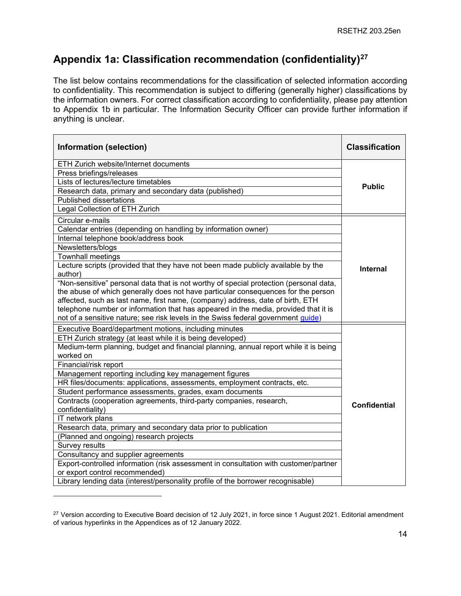# **Appendix 1a: Classification recommendation (confidentiality)[27](#page-13-0)**

The list below contains recommendations for the classification of selected information according to confidentiality. This recommendation is subject to differing (generally higher) classifications by the information owners. For correct classification according to confidentiality, please pay attention to Appendix 1b in particular. The Information Security Officer can provide further information if anything is unclear.

| Information (selection)                                                                | <b>Classification</b> |
|----------------------------------------------------------------------------------------|-----------------------|
| ETH Zurich website/Internet documents                                                  |                       |
| Press briefings/releases                                                               |                       |
| Lists of lectures/lecture timetables                                                   | <b>Public</b>         |
| Research data, primary and secondary data (published)                                  |                       |
| <b>Published dissertations</b>                                                         |                       |
| Legal Collection of ETH Zurich                                                         |                       |
| Circular e-mails                                                                       |                       |
| Calendar entries (depending on handling by information owner)                          |                       |
| Internal telephone book/address book                                                   |                       |
| Newsletters/blogs                                                                      |                       |
| <b>Townhall meetings</b>                                                               |                       |
| Lecture scripts (provided that they have not been made publicly available by the       | <b>Internal</b>       |
| author)                                                                                |                       |
| "Non-sensitive" personal data that is not worthy of special protection (personal data, |                       |
| the abuse of which generally does not have particular consequences for the person      |                       |
| affected, such as last name, first name, (company) address, date of birth, ETH         |                       |
| telephone number or information that has appeared in the media, provided that it is    |                       |
| not of a sensitive nature; see risk levels in the Swiss federal government guide)      |                       |
| Executive Board/department motions, including minutes                                  |                       |
| ETH Zurich strategy (at least while it is being developed)                             |                       |
| Medium-term planning, budget and financial planning, annual report while it is being   |                       |
| worked on                                                                              |                       |
| Financial/risk report                                                                  |                       |
| Management reporting including key management figures                                  |                       |
| HR files/documents: applications, assessments, employment contracts, etc.              |                       |
| Student performance assessments, grades, exam documents                                |                       |
| Contracts (cooperation agreements, third-party companies, research,                    | <b>Confidential</b>   |
| confidentiality)                                                                       |                       |
| <b>IT</b> network plans                                                                |                       |
| Research data, primary and secondary data prior to publication                         |                       |
| (Planned and ongoing) research projects                                                |                       |
| Survey results                                                                         |                       |
| Consultancy and supplier agreements                                                    |                       |
| Export-controlled information (risk assessment in consultation with customer/partner   |                       |
| or export control recommended)                                                         |                       |
| Library lending data (interest/personality profile of the borrower recognisable)       |                       |

<span id="page-13-0"></span><sup>&</sup>lt;sup>27</sup> Version according to Executive Board decision of 12 July 2021, in force since 1 August 2021. Editorial amendment of various hyperlinks in the Appendices as of 12 January 2022.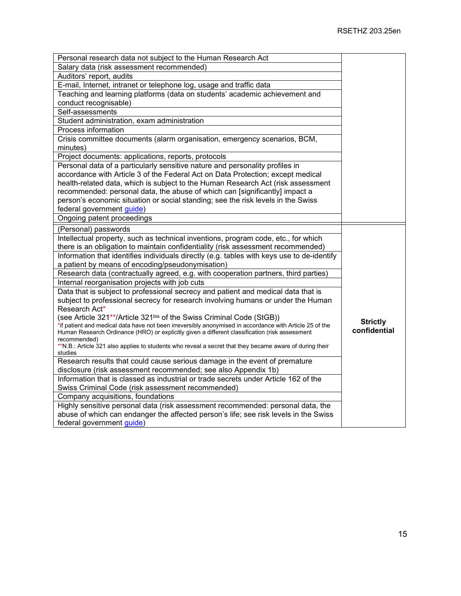| Personal research data not subject to the Human Research Act                                                            |                 |
|-------------------------------------------------------------------------------------------------------------------------|-----------------|
| Salary data (risk assessment recommended)                                                                               |                 |
| Auditors' report, audits                                                                                                |                 |
| E-mail, Internet, intranet or telephone log, usage and traffic data                                                     |                 |
| Teaching and learning platforms (data on students' academic achievement and                                             |                 |
| conduct recognisable)                                                                                                   |                 |
| Self-assessments                                                                                                        |                 |
| Student administration, exam administration                                                                             |                 |
| Process information                                                                                                     |                 |
| Crisis committee documents (alarm organisation, emergency scenarios, BCM,                                               |                 |
| minutes)                                                                                                                |                 |
| Project documents: applications, reports, protocols                                                                     |                 |
| Personal data of a particularly sensitive nature and personality profiles in                                            |                 |
| accordance with Article 3 of the Federal Act on Data Protection; except medical                                         |                 |
| health-related data, which is subject to the Human Research Act (risk assessment                                        |                 |
| recommended: personal data, the abuse of which can [significantly] impact a                                             |                 |
| person's economic situation or social standing; see the risk levels in the Swiss                                        |                 |
| federal government guide)                                                                                               |                 |
| Ongoing patent proceedings                                                                                              |                 |
| (Personal) passwords                                                                                                    |                 |
| Intellectual property, such as technical inventions, program code, etc., for which                                      |                 |
| there is an obligation to maintain confidentiality (risk assessment recommended)                                        |                 |
| Information that identifies individuals directly (e.g. tables with keys use to de-identify                              |                 |
| a patient by means of encoding/pseudonymisation)                                                                        |                 |
| Research data (contractually agreed, e.g. with cooperation partners, third parties)                                     |                 |
| Internal reorganisation projects with job cuts                                                                          |                 |
| Data that is subject to professional secrecy and patient and medical data that is                                       |                 |
| subject to professional secrecy for research involving humans or under the Human                                        |                 |
| Research Act*                                                                                                           |                 |
| (see Article 321**/Article 321bis of the Swiss Criminal Code (StGB))                                                    |                 |
| *if patient and medical data have not been irreversibly anonymised in accordance with Article 25 of the                 | <b>Strictly</b> |
| Human Research Ordinance (HRO) or explicitly given a different classification (risk assessment                          | confidential    |
| recommended)<br>**N.B.: Article 321 also applies to students who reveal a secret that they became aware of during their |                 |
| studies                                                                                                                 |                 |
| Research results that could cause serious damage in the event of premature                                              |                 |
| disclosure (risk assessment recommended; see also Appendix 1b)                                                          |                 |
| Information that is classed as industrial or trade secrets under Article 162 of the                                     |                 |
| Swiss Criminal Code (risk assessment recommended)                                                                       |                 |
| Company acquisitions, foundations                                                                                       |                 |
| Highly sensitive personal data (risk assessment recommended: personal data, the                                         |                 |
| abuse of which can endanger the affected person's life; see risk levels in the Swiss                                    |                 |
| federal government guide)                                                                                               |                 |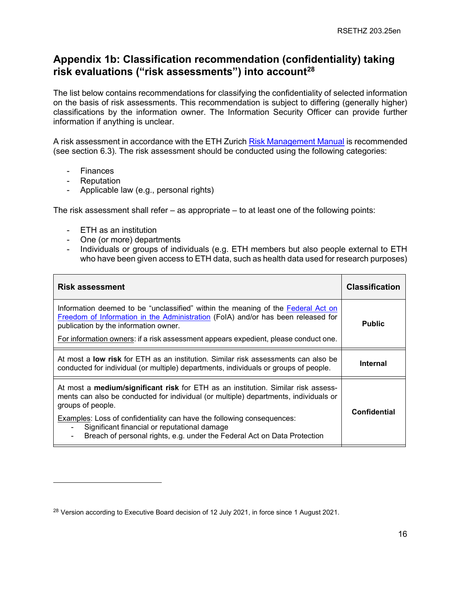## **Appendix 1b: Classification recommendation (confidentiality) taking risk evaluations ("risk assessments") into account[28](#page-15-0)**

The list below contains recommendations for classifying the confidentiality of selected information on the basis of risk assessments. This recommendation is subject to differing (generally higher) classifications by the information owner. The Information Security Officer can provide further information if anything is unclear.

A risk assessment in accordance with the ETH Zurich [Risk Management Manual](https://ethz.ch/content/dam/ethz/associates/services/finance-and-controlling/closed/Risikomanagement/risikomanagment-handbuch-en.pdf) is recommended (see section 6.3). The risk assessment should be conducted using the following categories:

- **Finances**
- Reputation
- Applicable law (e.g., personal rights)

The risk assessment shall refer – as appropriate – to at least one of the following points:

- ETH as an institution
- One (or more) departments
- Individuals or groups of individuals (e.g. ETH members but also people external to ETH who have been given access to ETH data, such as health data used for research purposes)

| <b>Risk assessment</b>                                                                                                                                                                                                                                                                               | <b>Classification</b> |
|------------------------------------------------------------------------------------------------------------------------------------------------------------------------------------------------------------------------------------------------------------------------------------------------------|-----------------------|
| Information deemed to be "unclassified" within the meaning of the Federal Act on<br>Freedom of Information in the Administration (FoIA) and/or has been released for<br>publication by the information owner.<br>For information owners: if a risk assessment appears expedient, please conduct one. | <b>Public</b>         |
|                                                                                                                                                                                                                                                                                                      |                       |
| At most a <b>low risk</b> for ETH as an institution. Similar risk assessments can also be<br>conducted for individual (or multiple) departments, individuals or groups of people.                                                                                                                    | <b>Internal</b>       |
| At most a <b>medium/significant risk</b> for ETH as an institution. Similar risk assess-<br>ments can also be conducted for individual (or multiple) departments, individuals or<br>groups of people.                                                                                                | <b>Confidential</b>   |
| Examples: Loss of confidentiality can have the following consequences:<br>Significant financial or reputational damage<br>Breach of personal rights, e.g. under the Federal Act on Data Protection                                                                                                   |                       |

<span id="page-15-0"></span><sup>&</sup>lt;sup>28</sup> Version according to Executive Board decision of 12 July 2021, in force since 1 August 2021.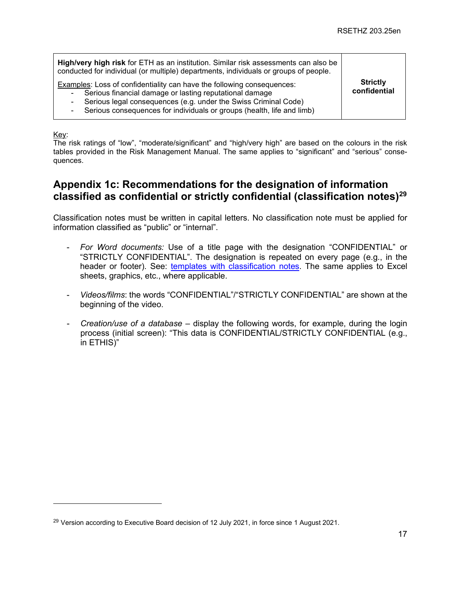| High/very high risk for ETH as an institution. Similar risk assessments can also be<br>conducted for individual (or multiple) departments, individuals or groups of people.<br>Examples: Loss of confidentiality can have the following consequences:<br>Serious financial damage or lasting reputational damage<br>۰<br>Serious legal consequences (e.g. under the Swiss Criminal Code)<br>۰<br>Serious consequences for individuals or groups (health, life and limb)<br>۰ | <b>Strictly</b><br>confidential |
|------------------------------------------------------------------------------------------------------------------------------------------------------------------------------------------------------------------------------------------------------------------------------------------------------------------------------------------------------------------------------------------------------------------------------------------------------------------------------|---------------------------------|
|------------------------------------------------------------------------------------------------------------------------------------------------------------------------------------------------------------------------------------------------------------------------------------------------------------------------------------------------------------------------------------------------------------------------------------------------------------------------------|---------------------------------|

Key:

The risk ratings of "low", "moderate/significant" and "high/very high" are based on the colours in the risk tables provided in the Risk Management Manual. The same applies to "significant" and "serious" consequences.

## **Appendix 1c: Recommendations for the designation of information classified as confidential or strictly confidential (classification notes[\)29](#page-16-0)**

Classification notes must be written in capital letters. No classification note must be applied for information classified as "public" or "internal".

- *For Word documents:* Use of a title page with the designation "CONFIDENTIAL" or "STRICTLY CONFIDENTIAL". The designation is repeated on every page (e.g., in the header or footer). See: [templates with classification notes.](https://ethz.ch/services/en/service/communication/corporate-design/templates.html) The same applies to Excel sheets, graphics, etc., where applicable.
- *Videos/films*: the words "CONFIDENTIAL"/"STRICTLY CONFIDENTIAL" are shown at the beginning of the video.
- *Creation/use of a database* display the following words, for example, during the login process (initial screen): "This data is CONFIDENTIAL/STRICTLY CONFIDENTIAL (e.g., in ETHIS)"

<span id="page-16-0"></span> $29$  Version according to Executive Board decision of 12 July 2021, in force since 1 August 2021.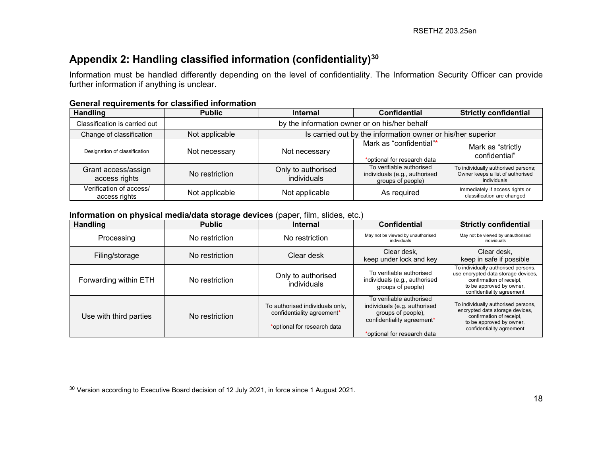# <span id="page-17-0"></span>**Appendix 2: Handling classified information (confidentiality)[30](#page-17-0)**

Information must be handled differently depending on the level of confidentiality. The Information Security Officer can provide further information if anything is unclear.

#### **General requirements for classified information**

| <b>Handling</b>                          | <b>Public</b>                                 | <b>Internal</b>                                             | <b>Confidential</b>                                                            | <b>Strictly confidential</b>                                                           |
|------------------------------------------|-----------------------------------------------|-------------------------------------------------------------|--------------------------------------------------------------------------------|----------------------------------------------------------------------------------------|
| Classification is carried out            | by the information owner or on his/her behalf |                                                             |                                                                                |                                                                                        |
| Change of classification                 | Not applicable                                | Is carried out by the information owner or his/her superior |                                                                                |                                                                                        |
| Designation of classification            | Not necessary                                 | Not necessary                                               | Mark as "confidential"*<br>*optional for research data                         | Mark as "strictly<br>confidential"                                                     |
| Grant access/assign<br>access rights     | No restriction                                | Only to authorised<br>individuals                           | To verifiable authorised<br>individuals (e.g., authorised<br>groups of people) | To individually authorised persons;<br>Owner keeps a list of authorised<br>individuals |
| Verification of access/<br>access rights | Not applicable                                | Not applicable                                              | As required                                                                    | Immediately if access rights or<br>classification are changed                          |

#### **Information on physical media/data storage devices** (paper, film, slides, etc.)

| <b>Handling</b>        | <b>Public</b>  | <b>Internal</b>                                                                              | <b>Confidential</b>                                                                                                                         | <b>Strictly confidential</b>                                                                                                                                    |
|------------------------|----------------|----------------------------------------------------------------------------------------------|---------------------------------------------------------------------------------------------------------------------------------------------|-----------------------------------------------------------------------------------------------------------------------------------------------------------------|
| Processing             | No restriction | No restriction                                                                               | May not be viewed by unauthorised<br>individuals                                                                                            | May not be viewed by unauthorised<br>individuals                                                                                                                |
| Filing/storage         | No restriction | Clear desk                                                                                   | Clear desk.<br>keep under lock and key                                                                                                      | Clear desk.<br>keep in safe if possible                                                                                                                         |
| Forwarding within ETH  | No restriction | Only to authorised<br>individuals                                                            | To verifiable authorised<br>individuals (e.g., authorised<br>groups of people)                                                              | To individually authorised persons,<br>use encrypted data storage devices,<br>confirmation of receipt,<br>to be approved by owner,<br>confidentiality agreement |
| Use with third parties | No restriction | To authorised individuals only,<br>confidentiality agreement*<br>*optional for research data | To verifiable authorised<br>individuals (e.g. authorised<br>groups of people),<br>confidentiality agreement*<br>*optional for research data | To individually authorised persons,<br>encrypted data storage devices,<br>confirmation of receipt,<br>to be approved by owner,<br>confidentiality agreement     |

<sup>&</sup>lt;sup>30</sup> Version according to Executive Board decision of 12 July 2021, in force since 1 August 2021.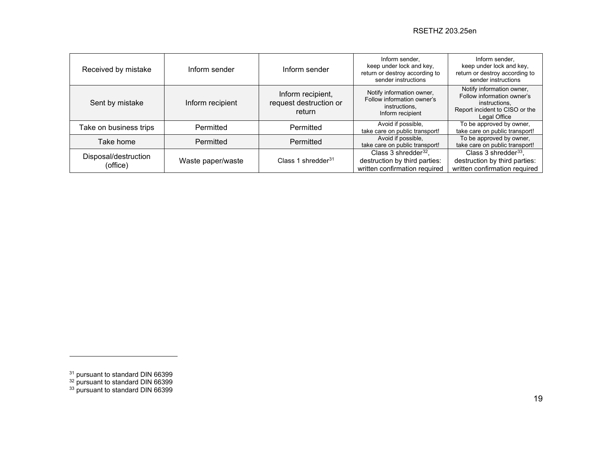<span id="page-18-2"></span><span id="page-18-1"></span><span id="page-18-0"></span>

| Received by mistake              | Inform sender     | Inform sender                                         | Inform sender,<br>keep under lock and key.<br>return or destroy according to<br>sender instructions | Inform sender.<br>keep under lock and key.<br>return or destroy according to<br>sender instructions                        |
|----------------------------------|-------------------|-------------------------------------------------------|-----------------------------------------------------------------------------------------------------|----------------------------------------------------------------------------------------------------------------------------|
| Sent by mistake                  | Inform recipient  | Inform recipient,<br>request destruction or<br>return | Notify information owner,<br>Follow information owner's<br>instructions.<br>Inform recipient        | Notify information owner,<br>Follow information owner's<br>instructions,<br>Report incident to CISO or the<br>Legal Office |
| Take on business trips           | Permitted         | Permitted                                             | Avoid if possible,<br>take care on public transport!                                                | To be approved by owner,<br>take care on public transport!                                                                 |
| Take home                        | Permitted         | Permitted                                             | Avoid if possible,<br>take care on public transport!                                                | To be approved by owner,<br>take care on public transport!                                                                 |
| Disposal/destruction<br>(office) | Waste paper/waste | Class 1 shredder $31$                                 | Class $3$ shredder $32$ .<br>destruction by third parties:<br>written confirmation required         | Class 3 shredder $^{33}$ ,<br>destruction by third parties:<br>written confirmation required                               |

<sup>&</sup>lt;sup>31</sup> pursuant to standard DIN 66399

<sup>&</sup>lt;sup>32</sup> pursuant to standard DIN 66399

<sup>&</sup>lt;sup>33</sup> pursuant to standard DIN 66399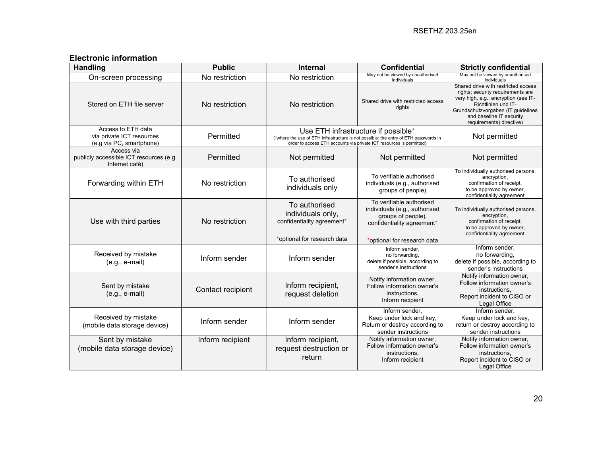## **Electronic information**

| <b>Handling</b>                                                             | <b>Public</b>     | <b>Internal</b>                                                                                 | <b>Confidential</b>                                                                                                                                                                                 | <b>Strictly confidential</b>                                                                                                                                                                                                          |
|-----------------------------------------------------------------------------|-------------------|-------------------------------------------------------------------------------------------------|-----------------------------------------------------------------------------------------------------------------------------------------------------------------------------------------------------|---------------------------------------------------------------------------------------------------------------------------------------------------------------------------------------------------------------------------------------|
| On-screen processing                                                        | No restriction    | No restriction                                                                                  | May not be viewed by unauthorised<br>individuals                                                                                                                                                    | May not be viewed by unauthorised<br>individuals                                                                                                                                                                                      |
| Stored on ETH file server                                                   | No restriction    | No restriction                                                                                  | Shared drive with restricted access<br>rights                                                                                                                                                       | Shared drive with restricted access<br>rights; security requirements are<br>very high, e.g., encryption (see IT-<br>Richtlinien und IT-<br>Grundschutzvorgaben (IT guidelines<br>and baseline IT security<br>requirements) directive) |
| Access to ETH data<br>via private ICT resources<br>(e.g via PC, smartphone) | Permitted         |                                                                                                 | Use ETH infrastructure if possible*<br>(*where the use of ETH infrastructure is not possible: the entry of ETH passwords in<br>order to access ETH accounts via private ICT resources is permitted) | Not permitted                                                                                                                                                                                                                         |
| Access via<br>publicly accessible ICT resources (e.g.<br>Internet café)     | Permitted         | Not permitted                                                                                   | Not permitted                                                                                                                                                                                       | Not permitted                                                                                                                                                                                                                         |
| Forwarding within ETH                                                       | No restriction    | To authorised<br>individuals only                                                               | To verifiable authorised<br>individuals (e.g., authorised<br>groups of people)                                                                                                                      | To individually authorised persons,<br>encryption,<br>confirmation of receipt,<br>to be approved by owner,<br>confidentiality agreement                                                                                               |
| Use with third parties                                                      | No restriction    | To authorised<br>individuals only,<br>confidentiality agreement*<br>*optional for research data | To verifiable authorised<br>individuals (e.g., authorised<br>groups of people).<br>confidentiality agreement*<br>*optional for research data                                                        | To individually authorised persons,<br>encryption,<br>confirmation of receipt,<br>to be approved by owner,<br>confidentiality agreement                                                                                               |
| Received by mistake<br>$(e.g., e-mail)$                                     | Inform sender     | Inform sender                                                                                   | Inform sender,<br>no forwarding,<br>delete if possible, according to<br>sender's instructions                                                                                                       | Inform sender,<br>no forwarding,<br>delete if possible, according to<br>sender's instructions                                                                                                                                         |
| Sent by mistake<br>$(e.g., e-mail)$                                         | Contact recipient | Inform recipient,<br>request deletion                                                           | Notify information owner,<br>Follow information owner's<br>instructions,<br>Inform recipient                                                                                                        | Notify information owner,<br>Follow information owner's<br>instructions,<br>Report incident to CISO or<br>Legal Office                                                                                                                |
| Received by mistake<br>(mobile data storage device)                         | Inform sender     | Inform sender                                                                                   | Inform sender,<br>Keep under lock and key,<br>Return or destroy according to<br>sender instructions                                                                                                 | Inform sender.<br>Keep under lock and key,<br>return or destroy according to<br>sender instructions                                                                                                                                   |
| Sent by mistake<br>(mobile data storage device)                             | Inform recipient  | Inform recipient,<br>request destruction or<br>return                                           | Notify information owner,<br>Follow information owner's<br>instructions,<br>Inform recipient                                                                                                        | Notify information owner,<br>Follow information owner's<br>instructions,<br>Report incident to CISO or<br>Legal Office                                                                                                                |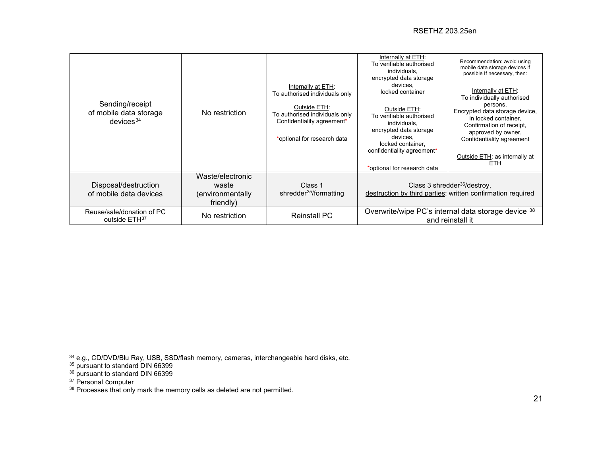#### <span id="page-20-4"></span><span id="page-20-3"></span><span id="page-20-2"></span><span id="page-20-1"></span><span id="page-20-0"></span>RSETHZ 203.25en

| Sending/receipt                                        |                                                            | Internally at ETH:<br>To authorised individuals only<br>Outside ETH:                        | Internally at ETH:<br>To verifiable authorised<br>individuals.<br>encrypted data storage<br>devices,<br>locked container<br>Outside ETH:                         | Recommendation: avoid using<br>mobile data storage devices if<br>possible If necessary, then:<br>Internally at ETH:<br>To individually authorised<br>persons,                 |
|--------------------------------------------------------|------------------------------------------------------------|---------------------------------------------------------------------------------------------|------------------------------------------------------------------------------------------------------------------------------------------------------------------|-------------------------------------------------------------------------------------------------------------------------------------------------------------------------------|
| of mobile data storage<br>devices <sup>34</sup>        | No restriction                                             | To authorised individuals only<br>Confidentiality agreement*<br>*optional for research data | To verifiable authorised<br>individuals.<br>encrypted data storage<br>devices,<br>locked container.<br>confidentiality agreement*<br>*optional for research data | Encrypted data storage device,<br>in locked container,<br>Confirmation of receipt,<br>approved by owner,<br>Confidentiality agreement<br>Outside ETH: as internally at<br>ETH |
| Disposal/destruction<br>of mobile data devices         | Waste/electronic<br>waste<br>(environmentally<br>friendly) | Class 1<br>shredder <sup>35</sup> /formatting                                               |                                                                                                                                                                  | Class 3 shredder $36$ /destroy,<br>destruction by third parties: written confirmation required                                                                                |
| Reuse/sale/donation of PC<br>outside ETH <sup>37</sup> | No restriction                                             | <b>Reinstall PC</b>                                                                         |                                                                                                                                                                  | Overwrite/wipe PC's internal data storage device 38<br>and reinstall it                                                                                                       |

- <sup>36</sup> pursuant to standard DIN 66399
- <sup>37</sup> Personal computer
- $^{38}$  Processes that only mark the memory cells as deleted are not permitted.

 $34$  e.g., CD/DVD/Blu Ray, USB, SSD/flash memory, cameras, interchangeable hard disks, etc.

<sup>35</sup> pursuant to standard DIN 66399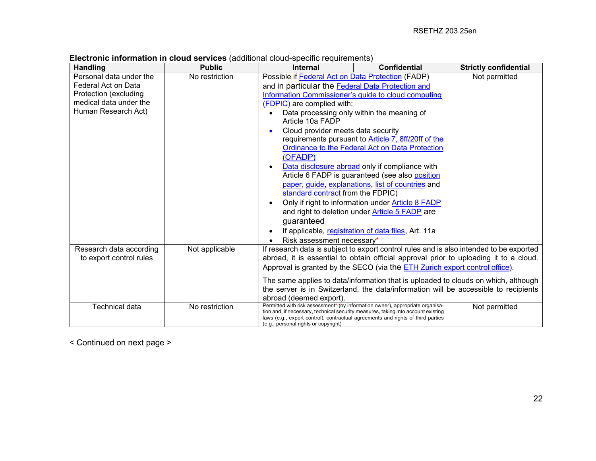| <b>Handling</b>                                                                                                          | <b>Public</b>  | <b>Internal</b>                                                                                                                                                                                                                                                                                                                                                                                                                                                                                                                                                                                                                                                                                                                                     | <b>Confidential</b>                                                                                                                                                          | <b>Strictly confidential</b>                                                                                                                                              |
|--------------------------------------------------------------------------------------------------------------------------|----------------|-----------------------------------------------------------------------------------------------------------------------------------------------------------------------------------------------------------------------------------------------------------------------------------------------------------------------------------------------------------------------------------------------------------------------------------------------------------------------------------------------------------------------------------------------------------------------------------------------------------------------------------------------------------------------------------------------------------------------------------------------------|------------------------------------------------------------------------------------------------------------------------------------------------------------------------------|---------------------------------------------------------------------------------------------------------------------------------------------------------------------------|
| Personal data under the<br>Federal Act on Data<br>Protection (excluding<br>medical data under the<br>Human Research Act) | No restriction | Possible if Federal Act on Data Protection (FADP)<br>and in particular the Federal Data Protection and<br>Information Commissioner's guide to cloud computing<br>(FDPIC) are complied with:<br>Data processing only within the meaning of<br>Article 10a FADP<br>Cloud provider meets data security<br>requirements pursuant to Article 7, 8ff/20ff of the<br>Ordinance to the Federal Act on Data Protection<br>(OFADP)<br>Data disclosure abroad only if compliance with<br>Article 6 FADP is guaranteed (see also position<br>paper, guide, explanations, list of countries and<br>standard contract from the FDPIC)<br>Only if right to information under <b>Article 8 FADP</b><br>and right to deletion under Article 5 FADP are<br>guaranteed |                                                                                                                                                                              | Not permitted                                                                                                                                                             |
|                                                                                                                          |                | Risk assessment necessary*                                                                                                                                                                                                                                                                                                                                                                                                                                                                                                                                                                                                                                                                                                                          | If applicable, registration of data files, Art. 11a                                                                                                                          |                                                                                                                                                                           |
| Research data according<br>to export control rules                                                                       | Not applicable |                                                                                                                                                                                                                                                                                                                                                                                                                                                                                                                                                                                                                                                                                                                                                     | abroad, it is essential to obtain official approval prior to uploading it to a cloud.<br>Approval is granted by the SECO (via the <b>ETH Zurich export control office)</b> . | If research data is subject to export control rules and is also intended to be exported                                                                                   |
|                                                                                                                          |                | abroad (deemed export).                                                                                                                                                                                                                                                                                                                                                                                                                                                                                                                                                                                                                                                                                                                             |                                                                                                                                                                              | The same applies to data/information that is uploaded to clouds on which, although<br>the server is in Switzerland, the data/information will be accessible to recipients |
| <b>Technical data</b>                                                                                                    | No restriction | Permitted with risk assessment* (by information owner), appropriate organisa-<br>tion and, if necessary, technical security measures, taking into account existing<br>laws (e.g., export control), contractual agreements and rights of third parties<br>(e.g., personal rights or copyright)                                                                                                                                                                                                                                                                                                                                                                                                                                                       |                                                                                                                                                                              | Not permitted                                                                                                                                                             |

**Electronic information in cloud services** (additional cloud-specific requirements)

< Continued on next page >